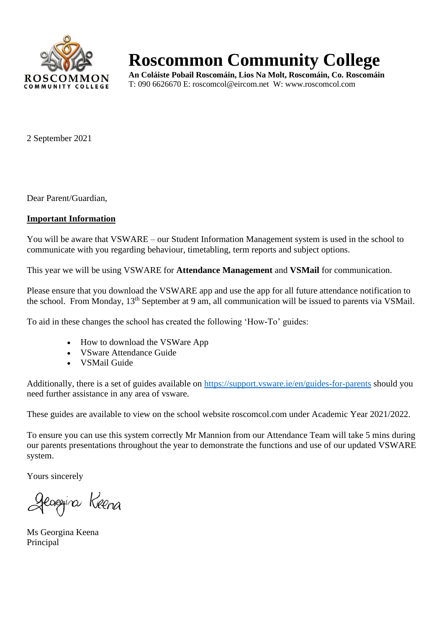

## **Roscommon Community College**

**An Coláiste Pobail Roscomáin, Lios Na Molt, Roscomáin, Co. Roscomáin** T: 090 6626670 E: roscomcol@eircom.net W: www.roscomcol.com

2 September 2021

Dear Parent/Guardian,

#### **Important Information**

You will be aware that VSWARE – our Student Information Management system is used in the school to communicate with you regarding behaviour, timetabling, term reports and subject options.

This year we will be using VSWARE for **Attendance Management** and **VSMail** for communication.

Please ensure that you download the VSWARE app and use the app for all future attendance notification to the school. From Monday, 13th September at 9 am, all communication will be issued to parents via VSMail.

To aid in these changes the school has created the following 'How-To' guides:

- How to download the VSWare App
- VSware Attendance Guide
- VSMail Guide

Additionally, there is a set of guides available on<https://support.vsware.ie/en/guides-for-parents> should you need further assistance in any area of vsware.

These guides are available to view on the school website roscomcol.com under Academic Year 2021/2022.

To ensure you can use this system correctly Mr Mannion from our Attendance Team will take 5 mins during our parents presentations throughout the year to demonstrate the functions and use of our updated VSWARE system.

Yours sincerely

Jeoggina Keena

Ms Georgina Keena Principal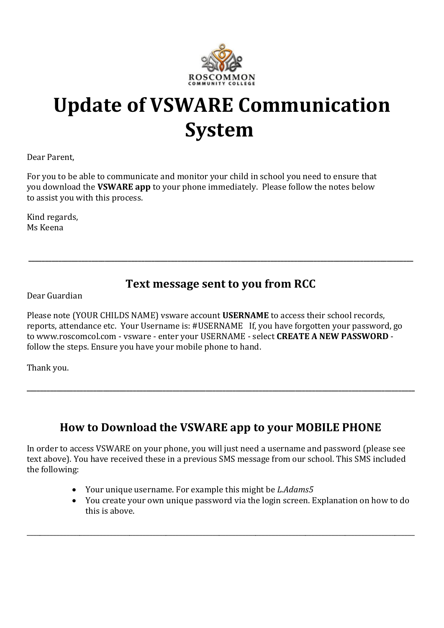

# **Update of VSWARE Communication System**

Dear Parent,

For you to be able to communicate and monitor your child in school you need to ensure that you download the **VSWARE app** to your phone immediately. Please follow the notes below to assist you with this process.

Kind regards, Ms Keena

### **Text message sent to you from RCC**

**\_\_\_\_\_\_\_\_\_\_\_\_\_\_\_\_\_\_\_\_\_\_\_\_\_\_\_\_\_\_\_\_\_\_\_\_\_\_\_\_\_\_\_\_\_\_\_\_\_\_\_\_\_\_\_\_\_\_\_\_\_\_\_\_\_\_\_\_\_\_\_\_\_\_\_\_\_\_\_\_\_\_\_\_\_\_\_\_\_\_\_\_\_\_\_\_\_\_\_\_\_\_\_\_\_\_\_\_\_\_\_\_\_\_\_\_**

Dear Guardian

Please note (YOUR CHILDS NAME) vsware account **USERNAME** to access their school records, reports, attendance etc. Your Username is: #USERNAME If, you have forgotten your password, go to www.roscomcol.com - vsware - enter your USERNAME - select **CREATE A NEW PASSWORD** follow the steps. Ensure you have your mobile phone to hand.

Thank you.

## **How to Download the VSWARE app to your MOBILE PHONE**

**\_\_\_\_\_\_\_\_\_\_\_\_\_\_\_\_\_\_\_\_\_\_\_\_\_\_\_\_\_\_\_\_\_\_\_\_\_\_\_\_\_\_\_\_\_\_\_\_\_\_\_\_\_\_\_\_\_\_\_\_\_\_\_\_\_\_\_\_\_\_\_\_\_\_\_\_\_\_\_\_\_\_\_\_\_\_\_\_\_\_\_\_\_\_\_\_\_\_\_\_\_\_\_\_\_\_\_\_\_\_\_\_\_\_\_\_\_**

In order to access VSWARE on your phone, you will just need a username and password (please see text above). You have received these in a previous SMS message from our school. This SMS included the following:

\_\_\_\_\_\_\_\_\_\_\_\_\_\_\_\_\_\_\_\_\_\_\_\_\_\_\_\_\_\_\_\_\_\_\_\_\_\_\_\_\_\_\_\_\_\_\_\_\_\_\_\_\_\_\_\_\_\_\_\_\_\_\_\_\_\_\_\_\_\_\_\_\_\_\_\_\_\_\_\_\_\_\_\_\_\_\_\_\_\_\_\_\_\_\_\_\_\_\_\_\_\_\_\_\_\_\_\_\_\_\_\_\_\_\_\_\_ 

- Your unique username. For example this might be *L.Adams5*
- You create your own unique password via the login screen. Explanation on how to do this is above.